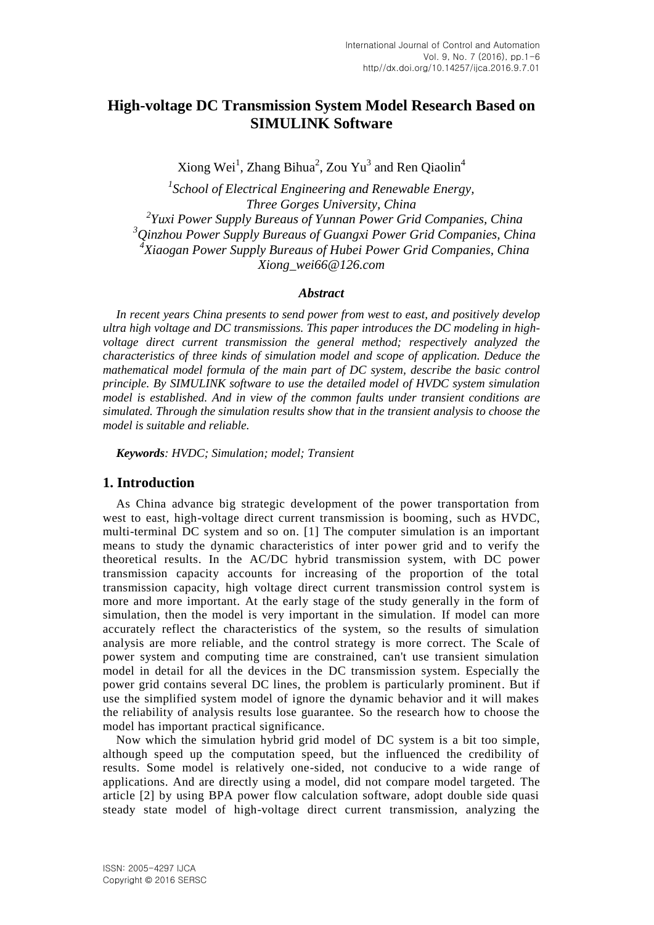# **High-voltage DC Transmission System Model Research Based on SIMULINK Software**

Xiong Wei<sup>1</sup>, Zhang Bihua<sup>2</sup>, Zou Yu<sup>3</sup> and Ren Qiaolin<sup>4</sup>

 *School of Electrical Engineering and Renewable Energy, Three Gorges University, China Yuxi Power Supply Bureaus of Yunnan Power Grid Companies, China Qinzhou Power Supply Bureaus of Guangxi Power Grid Companies, China Xiaogan Power Supply Bureaus of Hubei Power Grid Companies, China Xiong\_wei66@126.com*

#### *Abstract*

*In recent years China presents to send power from west to east, and positively develop ultra high voltage and DC transmissions. This paper introduces the DC modeling in highvoltage direct current transmission the general method; respectively analyzed the characteristics of three kinds of simulation model and scope of application. Deduce the mathematical model formula of the main part of DC system, describe the basic control principle. By SIMULINK software to use the detailed model of HVDC system simulation model is established. And in view of the common faults under transient conditions are simulated. Through the simulation results show that in the transient analysis to choose the model is suitable and reliable.*

*Keywords: HVDC; Simulation; model; Transient*

### **1. Introduction**

As China advance big strategic development of the power transportation from west to east, high-voltage direct current transmission is booming, such as HVDC, multi-terminal DC system and so on. [1] The computer simulation is an important means to study the dynamic characteristics of inter power grid and to verify the theoretical results. In the AC/DC hybrid transmission system, with DC power transmission capacity accounts for increasing of the proportion of the total transmission capacity, high voltage direct current transmission control system is more and more important. At the early stage of the study generally in the form of simulation, then the model is very important in the simulation. If model can more accurately reflect the characteristics of the system, so the results of simulation analysis are more reliable, and the control strategy is more correct. The Scale of power system and computing time are constrained, can't use transient simulation model in detail for all the devices in the DC transmission system. Especially the power grid contains several DC lines, the problem is particularly prominent. But if use the simplified system model of ignore the dynamic behavior and it will makes the reliability of analysis results lose guarantee. So the research how to choose the model has important practical significance.

Now which the simulation hybrid grid model of DC system is a bit too simple, although speed up the computation speed, but the influenced the credibility of results. Some model is relatively one-sided, not conducive to a wide range of applications. And are directly using a model, did not compare model targeted. The article [2] by using BPA power flow calculation software, adopt double side quasi steady state model of high-voltage direct current transmission, analyzing the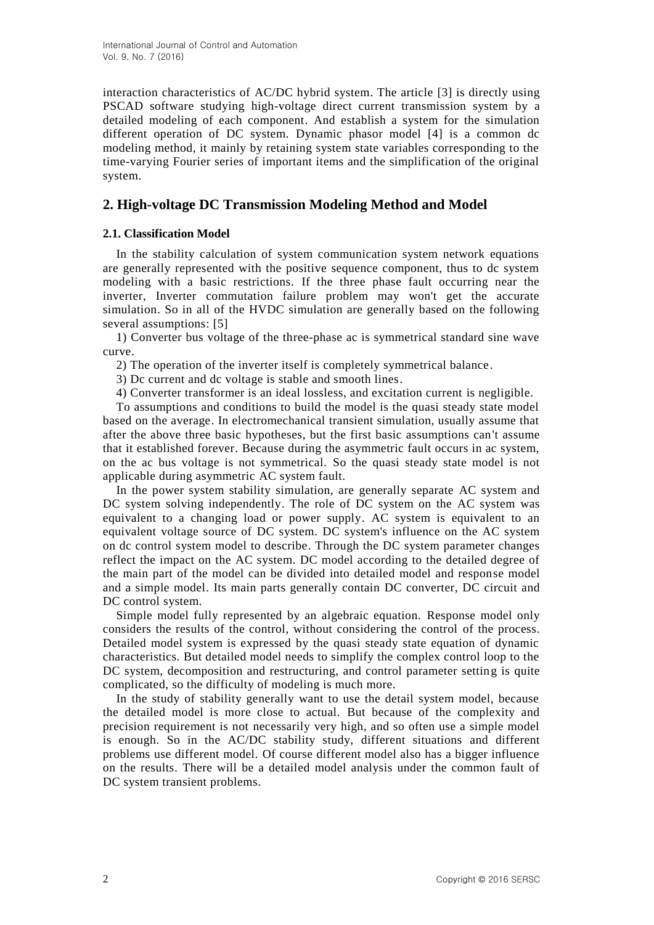interaction characteristics of AC/DC hybrid system. The article [3] is directly using PSCAD software studying high-voltage direct current transmission system by a detailed modeling of each component. And establish a system for the simulation different operation of DC system. Dynamic phasor model [4] is a common dc modeling method, it mainly by retaining system state variables corresponding to the time-varying Fourier series of important items and the simplification of the original system.

## **2. High-voltage DC Transmission Modeling Method and Model**

### **2.1. Classification Model**

In the stability calculation of system communication system network equations are generally represented with the positive sequence component, thus to dc system modeling with a basic restrictions. If the three phase fault occurring near the inverter, Inverter commutation failure problem may won't get the accurate simulation. So in all of the HVDC simulation are generally based on the following several assumptions: [5]

1) Converter bus voltage of the three-phase ac is symmetrical standard sine wave curve.

2) The operation of the inverter itself is completely symmetrical balance.

3) Dc current and dc voltage is stable and smooth lines.

4) Converter transformer is an ideal lossless, and excitation current is negligible.

To assumptions and conditions to build the model is the quasi steady state model based on the average. In electromechanical transient simulation, usually assume that after the above three basic hypotheses, but the first basic assumptions can't assume that it established forever. Because during the asymmetric fault occurs in ac system, on the ac bus voltage is not symmetrical. So the quasi steady state model is not applicable during asymmetric AC system fault.

In the power system stability simulation, are generally separate AC system and DC system solving independently. The role of DC system on the AC system was equivalent to a changing load or power supply. AC system is equivalent to an equivalent voltage source of DC system. DC system's influence on the AC system on dc control system model to describe. Through the DC system parameter changes reflect the impact on the AC system. DC model according to the detailed degree of the main part of the model can be divided into detailed model and response model and a simple model. Its main parts generally contain DC converter, DC circuit and DC control system.

Simple model fully represented by an algebraic equation. Response model only considers the results of the control, without considering the control of the process. Detailed model system is expressed by the quasi steady state equation of dynamic characteristics. But detailed model needs to simplify the complex control loop to the DC system, decomposition and restructuring, and control parameter setting is quite complicated, so the difficulty of modeling is much more.

In the study of stability generally want to use the detail system model, because the detailed model is more close to actual. But because of the complexity and precision requirement is not necessarily very high, and so often use a simple model is enough. So in the AC/DC stability study, different situations and different problems use different model. Of course different model also has a bigger influence on the results. There will be a detailed model analysis under the common fault of DC system transient problems.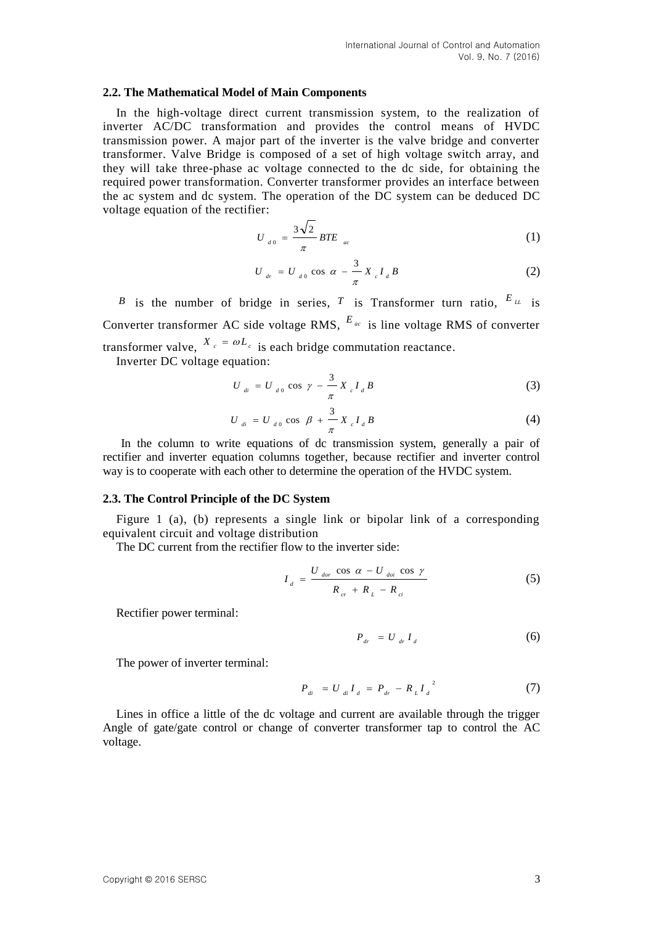#### **2.2. The Mathematical Model of Main Components**

In the high-voltage direct current transmission system, to the realization of inverter AC/DC transformation and provides the control means of HVDC transmission power. A major part of the inverter is the valve bridge and converter transformer. Valve Bridge is composed of a set of high voltage switch array, and they will take three-phase ac voltage connected to the dc side, for obtaining the required power transformation. Converter transformer provides an interface between the ac system and dc system. The operation of the DC system can be deduced DC voltage equation of the rectifier:

$$
U_{d0} = \frac{3\sqrt{2}}{\pi} BTE_{ac}
$$
 (1)

$$
U_{dr} = U_{d0} \cos \alpha - \frac{3}{\pi} X_{c} I_{d} B
$$
 (2)

*B* is the number of bridge in series, *T* is Transformer turn ratio,  $E_{\mu}$  is Converter transformer AC side voltage RMS,  $E_{ac}$  is line voltage RMS of converter transformer valve,  $X_c = \omega L_c$  is each bridge commutation reactance. Inverter DC voltage equation:

$$
U_{di} = U_{d0} \cos \gamma - \frac{3}{\pi} X_{c} I_{d} B
$$
 (3)

$$
U_{di} = U_{d0} \cos \beta + \frac{3}{\pi} X_{c} I_{d} B
$$
 (4)

In the column to write equations of dc transmission system, generally a pair of rectifier and inverter equation columns together, because rectifier and inverter control way is to cooperate with each other to determine the operation of the HVDC system.

#### **2.3. The Control Principle of the DC System**

Figure 1 (a), (b) represents a single link or bipolar link of a corresponding equivalent circuit and voltage distribution

The DC current from the rectifier flow to the inverter side:

$$
I_{d} = \frac{U_{dor} \cos \alpha - U_{doi} \cos \gamma}{R_{cr} + R_{L} - R_{ci}}
$$
 (5)

Rectifier power terminal:

$$
P_{dr} = U_{dr} I_d \tag{6}
$$

The power of inverter terminal:

$$
P_{di} = U_{di} I_d = P_{dr} - R_L I_d^{2}
$$
 (7)

Lines in office a little of the dc voltage and current are available through the trigger Angle of gate/gate control or change of converter transformer tap to control the AC voltage.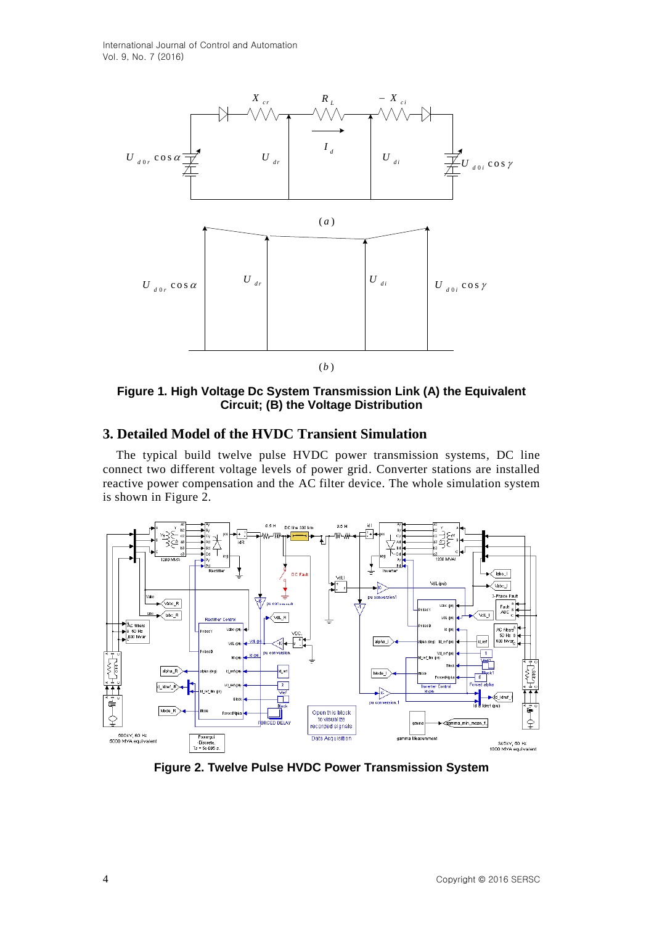

**Figure 1. High Voltage Dc System Transmission Link (A) the Equivalent Circuit; (B) the Voltage Distribution**

## **3. Detailed Model of the HVDC Transient Simulation**

The typical build twelve pulse HVDC power transmission systems, DC line connect two different voltage levels of power grid. Converter stations are installed reactive power compensation and the AC filter device. The whole simulation system is shown in Figure 2.



**Figure 2. Twelve Pulse HVDC Power Transmission System**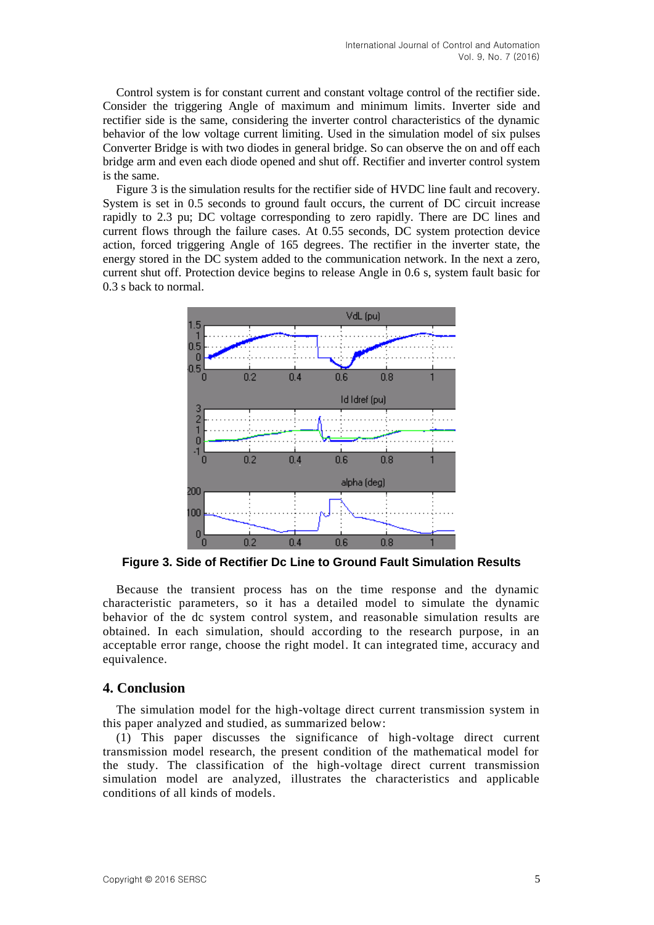Control system is for constant current and constant voltage control of the rectifier side. Consider the triggering Angle of maximum and minimum limits. Inverter side and rectifier side is the same, considering the inverter control characteristics of the dynamic behavior of the low voltage current limiting. Used in the simulation model of six pulses Converter Bridge is with two diodes in general bridge. So can observe the on and off each bridge arm and even each diode opened and shut off. Rectifier and inverter control system is the same.

Figure 3 is the simulation results for the rectifier side of HVDC line fault and recovery. System is set in 0.5 seconds to ground fault occurs, the current of DC circuit increase rapidly to 2.3 pu; DC voltage corresponding to zero rapidly. There are DC lines and current flows through the failure cases. At 0.55 seconds, DC system protection device action, forced triggering Angle of 165 degrees. The rectifier in the inverter state, the energy stored in the DC system added to the communication network. In the next a zero, current shut off. Protection device begins to release Angle in 0.6 s, system fault basic for 0.3 s back to normal.



**Figure 3. Side of Rectifier Dc Line to Ground Fault Simulation Results**

Because the transient process has on the time response and the dynamic characteristic parameters, so it has a detailed model to simulate the dynamic behavior of the dc system control system, and reasonable simulation results are obtained. In each simulation, should according to the research purpose, in an acceptable error range, choose the right model. It can integrated time, accuracy and equivalence.

### **4. Conclusion**

The simulation model for the high-voltage direct current transmission system in this paper analyzed and studied, as summarized below:

(1) This paper discusses the significance of high-voltage direct current transmission model research, the present condition of the mathematical model for the study. The classification of the high-voltage direct current transmission simulation model are analyzed, illustrates the characteristics and applicable conditions of all kinds of models.